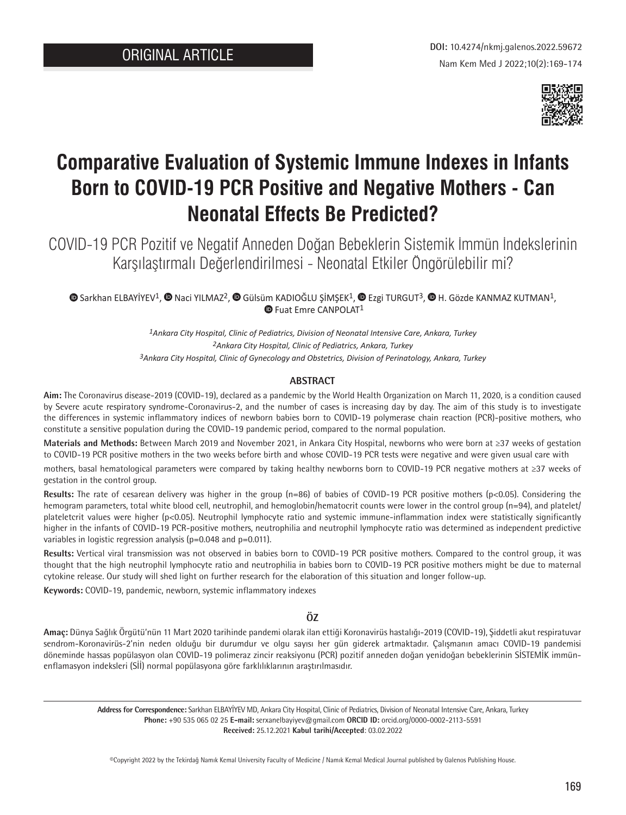

# **Comparative Evaluation of Systemic Immune Indexes in Infants Born to COVID-19 PCR Positive and Negative Mothers - Can Neonatal Effects Be Predicted?**

COVID-19 PCR Pozitif ve Negatif Anneden Doğan Bebeklerin Sistemik İmmün İndekslerinin Karşılaştırmalı Değerlendirilmesi - Neonatal Etkiler Öngörülebilir mi?

 $\bullet$  [S](https://orcid.org/0000-0002-2113-5591)arkhanELBAYİYEV<sup>1</sup>[,](https://orcid.org/0000-0003-4831-8950)  $\bullet$  Naci YILMAZ<sup>2</sup>,  $\bullet$  Gülsüm KADIOĞLU ŞİMŞEK<sup>1</sup>,  $\bullet$  Ezgi TURGUT<sup>3</sup>,  $\bullet$  H. Gözde KANMAZ KUTMAN<sup>1</sup>, **D**Fuat Emre CANPOLAT<sup>1</sup>

> *1Ankara City Hospital, Clinic of Pediatrics, Division of Neonatal Intensive Care, Ankara, Turkey 2Ankara City Hospital, Clinic of Pediatrics, Ankara, Turkey 3Ankara City Hospital, Clinic of Gynecology and Obstetrics, Division of Perinatology, Ankara, Turkey*

## **ABSTRACT**

**Aim:** The Coronavirus disease-2019 (COVID-19), declared as a pandemic by the World Health Organization on March 11, 2020, is a condition caused by Severe acute respiratory syndrome-Coronavirus-2, and the number of cases is increasing day by day. The aim of this study is to investigate the differences in systemic inflammatory indices of newborn babies born to COVID-19 polymerase chain reaction (PCR)-positive mothers, who constitute a sensitive population during the COVID-19 pandemic period, compared to the normal population.

**Materials and Methods:** Between March 2019 and November 2021, in Ankara City Hospital, newborns who were born at ≥37 weeks of gestation to COVID-19 PCR positive mothers in the two weeks before birth and whose COVID-19 PCR tests were negative and were given usual care with

mothers, basal hematological parameters were compared by taking healthy newborns born to COVID-19 PCR negative mothers at ≥37 weeks of gestation in the control group.

**Results:** The rate of cesarean delivery was higher in the group (n=86) of babies of COVID-19 PCR positive mothers (p<0.05). Considering the hemogram parameters, total white blood cell, neutrophil, and hemoglobin/hematocrit counts were lower in the control group (n=94), and platelet/ plateletcrit values were higher (p<0.05). Neutrophil lymphocyte ratio and systemic immune-inflammation index were statistically significantly higher in the infants of COVID-19 PCR-positive mothers, neutrophilia and neutrophil lymphocyte ratio was determined as independent predictive variables in logistic regression analysis ( $p=0.048$  and  $p=0.011$ ).

**Results:** Vertical viral transmission was not observed in babies born to COVID-19 PCR positive mothers. Compared to the control group, it was thought that the high neutrophil lymphocyte ratio and neutrophilia in babies born to COVID-19 PCR positive mothers might be due to maternal cytokine release. Our study will shed light on further research for the elaboration of this situation and longer follow-up.

**Keywords:** COVID-19, pandemic, newborn, systemic inflammatory indexes

## **ÖZ**

**Amaç:** Dünya Sağlık Örgütü'nün 11 Mart 2020 tarihinde pandemi olarak ilan ettiği Koronavirüs hastalığı-2019 (COVID-19), Şiddetli akut respiratuvar sendrom-Koronavirüs-2'nin neden olduğu bir durumdur ve olgu sayısı her gün giderek artmaktadır. Çalışmanın amacı COVID-19 pandemisi döneminde hassas popülasyon olan COVID-19 polimeraz zincir reaksiyonu (PCR) pozitif anneden doğan yenidoğan bebeklerinin SİSTEMİK immünenflamasyon indeksleri (Sİİ) normal popülasyona göre farklılıklarının araştırılmasıdır.

**Address for Correspondence:** Sarkhan ELBAYİYEV MD, Ankara City Hospital, Clinic of Pediatrics, Division of Neonatal Intensive Care, Ankara, Turkey **Phone:** +90 535 065 02 25 **E-mail:** serxanelbayiyev@gmail.com **ORCID ID:** orcid.org/0000-0002-2113-5591 **Received:** 25.12.2021 **Kabul tarihi/Accepted**: 03.02.2022

©Copyright 2022 by the Tekirdağ Namık Kemal University Faculty of Medicine / Namık Kemal Medical Journal published by Galenos Publishing House.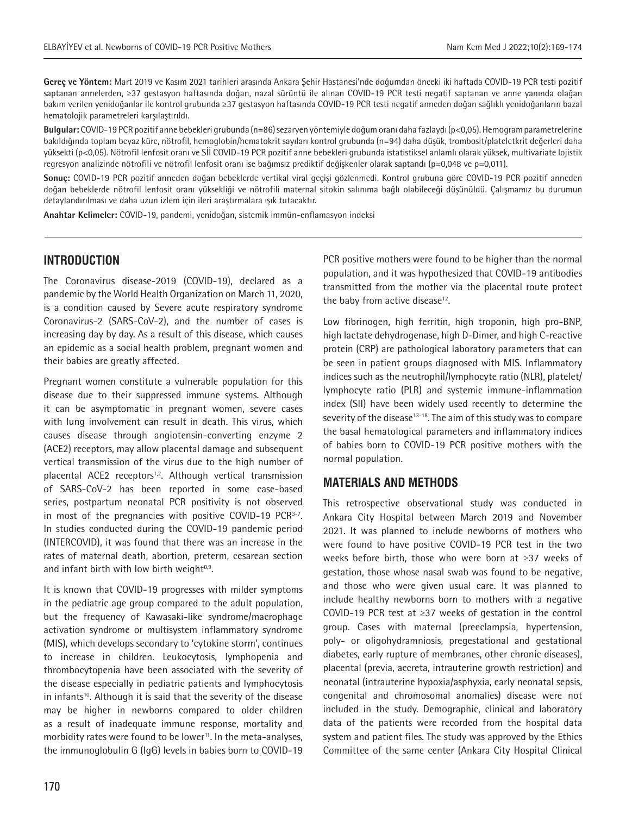**Gereç ve Yöntem:** Mart 2019 ve Kasım 2021 tarihleri arasında Ankara Şehir Hastanesi'nde doğumdan önceki iki haftada COVID-19 PCR testi pozitif saptanan annelerden, ≥37 gestasyon haftasında doğan, nazal sürüntü ile alınan COVID-19 PCR testi negatif saptanan ve anne yanında olağan bakım verilen yenidoğanlar ile kontrol grubunda ≥37 gestasyon haftasında COVID-19 PCR testi negatif anneden doğan sağlıklı yenidoğanların bazal hematolojik parametreleri karşılaştırıldı.

**Bulgular:** COVID-19 PCR pozitif anne bebekleri grubunda (n=86) sezaryen yöntemiyle doğum oranı daha fazlaydı (p<0,05). Hemogram parametrelerine bakıldığında toplam beyaz küre, nötrofil, hemoglobin/hematokrit sayıları kontrol grubunda (n=94) daha düşük, trombosit/plateletkrit değerleri daha yüksekti (p<0,05). Nötrofil lenfosit oranı ve Sİİ COVID-19 PCR pozitif anne bebekleri grubunda istatistiksel anlamlı olarak yüksek, multivariate lojistik regresyon analizinde nötrofili ve nötrofil lenfosit oranı ise bağımsız prediktif değişkenler olarak saptandı (p=0,048 ve p=0,011).

**Sonuç:** COVID-19 PCR pozitif anneden doğan bebeklerde vertikal viral geçişi gözlenmedi. Kontrol grubuna göre COVID-19 PCR pozitif anneden doğan bebeklerde nötrofil lenfosit oranı yüksekliği ve nötrofili maternal sitokin salınıma bağlı olabileceği düşünüldü. Çalışmamız bu durumun detaylandırılması ve daha uzun izlem için ileri araştırmalara ışık tutacaktır.

**Anahtar Kelimeler:** COVID-19, pandemi, yenidoğan, sistemik immün-enflamasyon indeksi

## **INTRODUCTION**

The Coronavirus disease-2019 (COVID-19), declared as a pandemic by the World Health Organization on March 11, 2020, is a condition caused by Severe acute respiratory syndrome Coronavirus-2 (SARS-CoV-2), and the number of cases is increasing day by day. As a result of this disease, which causes an epidemic as a social health problem, pregnant women and their babies are greatly affected.

Pregnant women constitute a vulnerable population for this disease due to their suppressed immune systems. Although it can be asymptomatic in pregnant women, severe cases with lung involvement can result in death. This virus, which causes disease through angiotensin-converting enzyme 2 (ACE2) receptors, may allow placental damage and subsequent vertical transmission of the virus due to the high number of placental ACE2 receptors<sup>1,2</sup>. Although vertical transmission of SARS-CoV-2 has been reported in some case-based series, postpartum neonatal PCR positivity is not observed in most of the pregnancies with positive COVID-19 PCR3-7. In studies conducted during the COVID-19 pandemic period (INTERCOVID), it was found that there was an increase in the rates of maternal death, abortion, preterm, cesarean section and infant birth with low birth weight $8.9$ .

It is known that COVID-19 progresses with milder symptoms in the pediatric age group compared to the adult population, but the frequency of Kawasaki-like syndrome/macrophage activation syndrome or multisystem inflammatory syndrome (MIS), which develops secondary to 'cytokine storm', continues to increase in children. Leukocytosis, lymphopenia and thrombocytopenia have been associated with the severity of the disease especially in pediatric patients and lymphocytosis in infants<sup>10</sup>. Although it is said that the severity of the disease may be higher in newborns compared to older children as a result of inadequate immune response, mortality and morbidity rates were found to be lower<sup>11</sup>. In the meta-analyses, the immunoglobulin G (IgG) levels in babies born to COVID-19 PCR positive mothers were found to be higher than the normal population, and it was hypothesized that COVID-19 antibodies transmitted from the mother via the placental route protect the baby from active disease<sup>12</sup>.

Low fibrinogen, high ferritin, high troponin, high pro-BNP, high lactate dehydrogenase, high D-Dimer, and high C-reactive protein (CRP) are pathological laboratory parameters that can be seen in patient groups diagnosed with MIS. Inflammatory indices such as the neutrophil/lymphocyte ratio (NLR), platelet/ lymphocyte ratio (PLR) and systemic immune-inflammation index (SII) have been widely used recently to determine the severity of the disease<sup>13-18</sup>. The aim of this study was to compare the basal hematological parameters and inflammatory indices of babies born to COVID-19 PCR positive mothers with the normal population.

## **MATERIALS AND METHODS**

This retrospective observational study was conducted in Ankara City Hospital between March 2019 and November 2021. It was planned to include newborns of mothers who were found to have positive COVID-19 PCR test in the two weeks before birth, those who were born at ≥37 weeks of gestation, those whose nasal swab was found to be negative, and those who were given usual care. It was planned to include healthy newborns born to mothers with a negative COVID-19 PCR test at ≥37 weeks of gestation in the control group. Cases with maternal (preeclampsia, hypertension, poly- or oligohydramniosis, pregestational and gestational diabetes, early rupture of membranes, other chronic diseases), placental (previa, accreta, intrauterine growth restriction) and neonatal (intrauterine hypoxia/asphyxia, early neonatal sepsis, congenital and chromosomal anomalies) disease were not included in the study. Demographic, clinical and laboratory data of the patients were recorded from the hospital data system and patient files. The study was approved by the Ethics Committee of the same center (Ankara City Hospital Clinical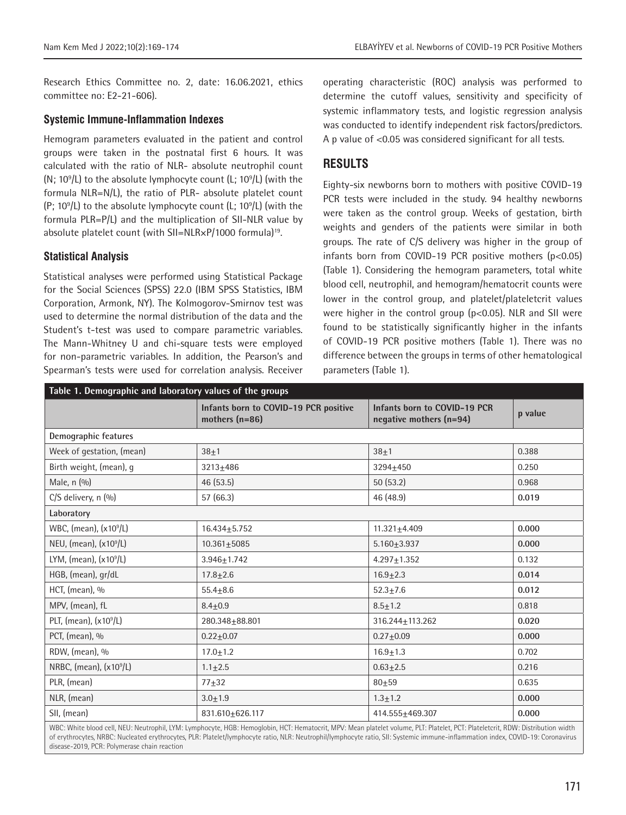Research Ethics Committee no. 2, date: 16.06.2021, ethics committee no: E2-21-606).

#### **Systemic Immune-Inflammation Indexes**

Hemogram parameters evaluated in the patient and control groups were taken in the postnatal first 6 hours. It was calculated with the ratio of NLR- absolute neutrophil count  $(N; 10<sup>9</sup>/L)$  to the absolute lymphocyte count (L;  $10<sup>9</sup>/L$ ) (with the formula NLR=N/L), the ratio of PLR- absolute platelet count  $(P; 10<sup>9</sup>/L)$  to the absolute lymphocyte count (L; 10 $<sup>9</sup>/L$ ) (with the</sup> formula PLR=P/L) and the multiplication of SII-NLR value by absolute platelet count (with SII=NLR×P/1000 formula)<sup>19</sup>.

## **Statistical Analysis**

Statistical analyses were performed using Statistical Package for the Social Sciences (SPSS) 22.0 (IBM SPSS Statistics, IBM Corporation, Armonk, NY). The Kolmogorov-Smirnov test was used to determine the normal distribution of the data and the Student's t-test was used to compare parametric variables. The Mann-Whitney U and chi-square tests were employed for non-parametric variables. In addition, the Pearson's and Spearman's tests were used for correlation analysis. Receiver

operating characteristic (ROC) analysis was performed to determine the cutoff values, sensitivity and specificity of systemic inflammatory tests, and logistic regression analysis was conducted to identify independent risk factors/predictors. A p value of <0.05 was considered significant for all tests.

# **RESULTS**

Eighty-six newborns born to mothers with positive COVID-19 PCR tests were included in the study. 94 healthy newborns were taken as the control group. Weeks of gestation, birth weights and genders of the patients were similar in both groups. The rate of C/S delivery was higher in the group of infants born from COVID-19 PCR positive mothers (p<0.05) (Table 1). Considering the hemogram parameters, total white blood cell, neutrophil, and hemogram/hematocrit counts were lower in the control group, and platelet/plateletcrit values were higher in the control group (p<0.05). NLR and SII were found to be statistically significantly higher in the infants of COVID-19 PCR positive mothers (Table 1). There was no difference between the groups in terms of other hematological parameters (Table 1).

| Table 1. Demographic and laboratory values of the groups |                                                           |                                                         |         |  |  |  |  |  |
|----------------------------------------------------------|-----------------------------------------------------------|---------------------------------------------------------|---------|--|--|--|--|--|
|                                                          | Infants born to COVID-19 PCR positive<br>mothers $(n=86)$ | Infants born to COVID-19 PCR<br>negative mothers (n=94) | p value |  |  |  |  |  |
| Demographic features                                     |                                                           |                                                         |         |  |  |  |  |  |
| Week of gestation, (mean)                                | $38 + 1$                                                  | $38 + 1$                                                | 0.388   |  |  |  |  |  |
| Birth weight, (mean), g                                  | $3213 + 486$                                              | 3294±450                                                | 0.250   |  |  |  |  |  |
| Male, n (%)                                              | 46(53.5)                                                  | 50(53.2)                                                | 0.968   |  |  |  |  |  |
| $C/S$ delivery, n $(\%)$                                 | 57 (66.3)                                                 | 46 (48.9)                                               | 0.019   |  |  |  |  |  |
| Laboratory                                               |                                                           |                                                         |         |  |  |  |  |  |
| WBC, (mean), (x10 <sup>9</sup> /L)                       | $16.434 + 5.752$                                          | $11.321 + 4.409$                                        | 0.000   |  |  |  |  |  |
| NEU, (mean), (x10 <sup>9</sup> /L)                       | $10.361 + 5085$                                           | $5.160 + 3.937$                                         | 0.000   |  |  |  |  |  |
| LYM, (mean), $(x109/L)$                                  | $3.946 + 1.742$                                           | $4.297 \pm 1.352$                                       | 0.132   |  |  |  |  |  |
| HGB, (mean), gr/dL                                       | $17.8 \pm 2.6$                                            | $16.9 \pm 2.3$                                          | 0.014   |  |  |  |  |  |
| HCT, (mean), %                                           | $55.4 + 8.6$                                              | $52.3 + 7.6$                                            | 0.012   |  |  |  |  |  |
| MPV, (mean), fL                                          | $8.4 + 0.9$                                               | $8.5 + 1.2$                                             | 0.818   |  |  |  |  |  |
| PLT, (mean), (x10 <sup>9</sup> /L)                       | 280.348+88.801                                            | $316.244 \pm 113.262$                                   | 0.020   |  |  |  |  |  |
| PCT, (mean), %                                           | $0.22 + 0.07$                                             | $0.27 + 0.09$                                           | 0.000   |  |  |  |  |  |
| RDW, (mean), %                                           | $17.0 \pm 1.2$                                            | $16.9 \pm 1.3$                                          | 0.702   |  |  |  |  |  |
| NRBC, (mean), (x10 <sup>9</sup> /L)                      | $1.1 \pm 2.5$                                             | $0.63 + 2.5$                                            | 0.216   |  |  |  |  |  |
| PLR, (mean)                                              | $77 + 32$                                                 | $80 + 59$                                               | 0.635   |  |  |  |  |  |
| NLR, (mean)                                              | $3.0 + 1.9$                                               | $1.3 + 1.2$                                             | 0.000   |  |  |  |  |  |
| SII, (mean)                                              | 831.610+626.117                                           | 414.555±469.307                                         | 0.000   |  |  |  |  |  |

WBC: White blood cell, NEU: Neutrophil, LYM: Lymphocyte, HGB: Hemoglobin, HCT: Hematocrit, MPV: Mean platelet volume, PLT: Platelet, PCT: Plateletcrit, RDW: Distribution width of erythrocytes, NRBC: Nucleated erythrocytes, PLR: Platelet/lymphocyte ratio, NLR: Neutrophil/lymphocyte ratio, SII: Systemic immune-inflammation index, COVID-19: Coronavirus disease-2019, PCR: Polymerase chain reaction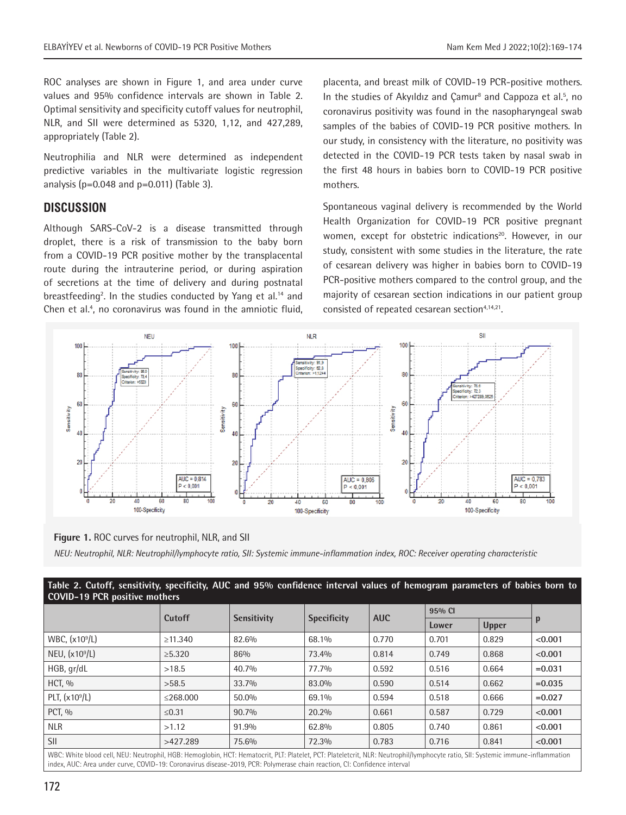ROC analyses are shown in Figure 1, and area under curve values and 95% confidence intervals are shown in Table 2. Optimal sensitivity and specificity cutoff values for neutrophil, NLR, and SII were determined as 5320, 1,12, and 427,289, appropriately (Table 2).

Neutrophilia and NLR were determined as independent predictive variables in the multivariate logistic regression analysis ( $p=0.048$  and  $p=0.011$ ) (Table 3).

# **DISCUSSION**

Although SARS-CoV-2 is a disease transmitted through droplet, there is a risk of transmission to the baby born from a COVID-19 PCR positive mother by the transplacental route during the intrauterine period, or during aspiration of secretions at the time of delivery and during postnatal breastfeeding<sup>2</sup>. In the studies conducted by Yang et al.<sup>14</sup> and Chen et al.<sup>4</sup>, no coronavirus was found in the amniotic fluid, placenta, and breast milk of COVID-19 PCR-positive mothers. In the studies of Akyıldız and Çamur<sup>8</sup> and Cappoza et al.<sup>5</sup>, no coronavirus positivity was found in the nasopharyngeal swab samples of the babies of COVID-19 PCR positive mothers. In our study, in consistency with the literature, no positivity was detected in the COVID-19 PCR tests taken by nasal swab in the first 48 hours in babies born to COVID-19 PCR positive mothers.

Spontaneous vaginal delivery is recommended by the World Health Organization for COVID-19 PCR positive pregnant women, except for obstetric indications<sup>20</sup>. However, in our study, consistent with some studies in the literature, the rate of cesarean delivery was higher in babies born to COVID-19 PCR-positive mothers compared to the control group, and the majority of cesarean section indications in our patient group consisted of repeated cesarean section<sup>4,14,21</sup>.



**Figure 1.** ROC curves for neutrophil, NLR, and SII *NEU: Neutrophil, NLR: Neutrophil/lymphocyte ratio, SII: Systemic immune-inflammation index, ROC: Receiver operating characteristic*

| Table 2. Cutoff, sensitivity, specificity, AUC and 95% confidence interval values of hemogram parameters of babies born to<br><b>COVID-19 PCR positive mothers</b>                                                                                                                                           |                |                    |                    |            |        |              |           |  |
|--------------------------------------------------------------------------------------------------------------------------------------------------------------------------------------------------------------------------------------------------------------------------------------------------------------|----------------|--------------------|--------------------|------------|--------|--------------|-----------|--|
|                                                                                                                                                                                                                                                                                                              | Cutoff         |                    |                    |            | 95% CI |              |           |  |
|                                                                                                                                                                                                                                                                                                              |                | <b>Sensitivity</b> | <b>Specificity</b> | <b>AUC</b> | Lower  | <b>Upper</b> | p         |  |
| WBC, (x10 <sup>9</sup> /L)                                                                                                                                                                                                                                                                                   | $\geq 11.340$  | 82.6%              | 68.1%              | 0.770      | 0.701  | 0.829        | < 0.001   |  |
| NEU, $(x109/L)$                                                                                                                                                                                                                                                                                              | $\geq 5.320$   | 86%                | 73.4%              | 0.814      | 0.749  | 0.868        | < 0.001   |  |
| HGB, gr/dL                                                                                                                                                                                                                                                                                                   | >18.5          | 40.7%              | 77.7%              | 0.592      | 0.516  | 0.664        | $= 0.031$ |  |
| $HCT$ , $\%$                                                                                                                                                                                                                                                                                                 | >58.5          | 33.7%              | 83.0%              | 0.590      | 0.514  | 0.662        | $=0.035$  |  |
| PLT, $(x10^9/L)$                                                                                                                                                                                                                                                                                             | $\leq$ 268.000 | 50.0%              | 69.1%              | 0.594      | 0.518  | 0.666        | $=0.027$  |  |
| PCT. %                                                                                                                                                                                                                                                                                                       | $≤0.31$        | 90.7%              | 20.2%              | 0.661      | 0.587  | 0.729        | < 0.001   |  |
| <b>NLR</b>                                                                                                                                                                                                                                                                                                   | >1.12          | 91.9%              | 62.8%              | 0.805      | 0.740  | 0.861        | < 0.001   |  |
| <b>SII</b>                                                                                                                                                                                                                                                                                                   | >427.289       | 75.6%              | 72.3%              | 0.783      | 0.716  | 0.841        | < 0.001   |  |
| WBC: White blood cell, NEU: Neutrophil, HGB: Hemoglobin, HCT: Hematocrit, PLT: Platelet, PCT: Plateletcrit, NLR: Neutrophil/lymphocyte ratio, SII: Systemic immune-inflammation<br>index, AUC: Area under curve, COVID-19: Coronavirus disease-2019, PCR: Polymerase chain reaction, CI: Confidence interval |                |                    |                    |            |        |              |           |  |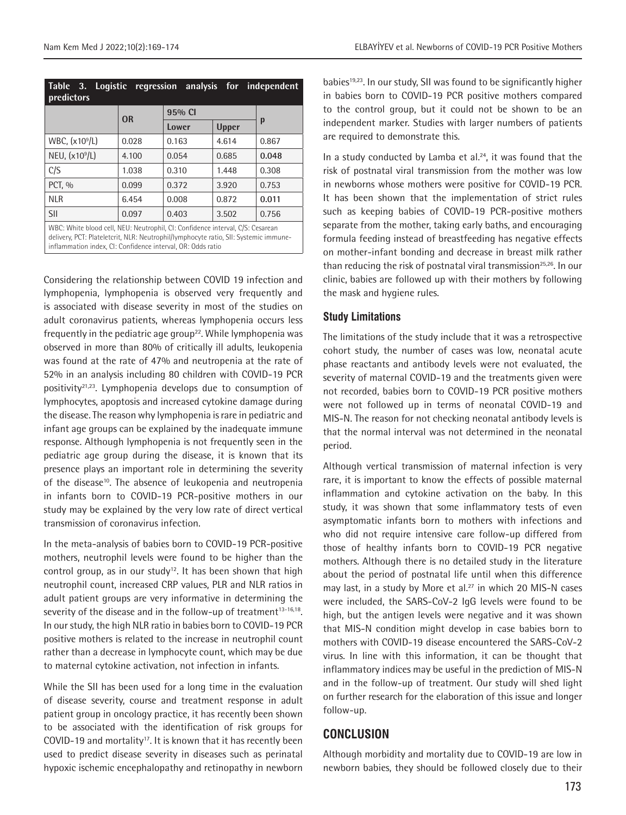| Logistic regression analysis for independent<br>Table 3.<br>predictors                                                                                                                                                                |           |        |              |       |  |  |  |  |
|---------------------------------------------------------------------------------------------------------------------------------------------------------------------------------------------------------------------------------------|-----------|--------|--------------|-------|--|--|--|--|
|                                                                                                                                                                                                                                       | <b>OR</b> | 95% CI |              |       |  |  |  |  |
|                                                                                                                                                                                                                                       |           | Lower  | <b>Upper</b> | p     |  |  |  |  |
| WBC, (x10 <sup>9</sup> /L)                                                                                                                                                                                                            | 0.028     | 0.163  | 4.614        | 0.867 |  |  |  |  |
| NEU, $(x109/L)$                                                                                                                                                                                                                       | 4.100     | 0.054  | 0.685        | 0.048 |  |  |  |  |
| C/S                                                                                                                                                                                                                                   | 1.038     | 0.310  | 1.448        | 0.308 |  |  |  |  |
| PCT, %                                                                                                                                                                                                                                | 0.099     | 0.372  | 3.920        | 0.753 |  |  |  |  |
| <b>NLR</b>                                                                                                                                                                                                                            | 6.454     | 0.008  | 0.872        | 0.011 |  |  |  |  |
| <b>SII</b>                                                                                                                                                                                                                            | 0.097     | 0.403  | 3.502        | 0.756 |  |  |  |  |
| WBC: White blood cell, NEU: Neutrophil, CI: Confidence interval, C/S: Cesarean<br>delivery, PCT: Plateletcrit, NLR: Neutrophil/lymphocyte ratio, SII: Systemic immune-<br>inflammation index, CI: Confidence interval, OR: Odds ratio |           |        |              |       |  |  |  |  |

Considering the relationship between COVID 19 infection and lymphopenia, lymphopenia is observed very frequently and is associated with disease severity in most of the studies on adult coronavirus patients, whereas lymphopenia occurs less frequently in the pediatric age group<sup>22</sup>. While lymphopenia was observed in more than 80% of critically ill adults, leukopenia was found at the rate of 47% and neutropenia at the rate of 52% in an analysis including 80 children with COVID-19 PCR positivity21,23. Lymphopenia develops due to consumption of lymphocytes, apoptosis and increased cytokine damage during the disease. The reason why lymphopenia is rare in pediatric and infant age groups can be explained by the inadequate immune response. Although lymphopenia is not frequently seen in the pediatric age group during the disease, it is known that its presence plays an important role in determining the severity of the disease<sup>10</sup>. The absence of leukopenia and neutropenia in infants born to COVID-19 PCR-positive mothers in our study may be explained by the very low rate of direct vertical transmission of coronavirus infection.

In the meta-analysis of babies born to COVID-19 PCR-positive mothers, neutrophil levels were found to be higher than the control group, as in our study<sup>12</sup>. It has been shown that high neutrophil count, increased CRP values, PLR and NLR ratios in adult patient groups are very informative in determining the severity of the disease and in the follow-up of treatment $13-16,18$ . In our study, the high NLR ratio in babies born to COVID-19 PCR positive mothers is related to the increase in neutrophil count rather than a decrease in lymphocyte count, which may be due to maternal cytokine activation, not infection in infants.

While the SII has been used for a long time in the evaluation of disease severity, course and treatment response in adult patient group in oncology practice, it has recently been shown to be associated with the identification of risk groups for COVID-19 and mortality<sup>17</sup>. It is known that it has recently been used to predict disease severity in diseases such as perinatal hypoxic ischemic encephalopathy and retinopathy in newborn

babies<sup>19,23</sup>. In our study, SII was found to be significantly higher in babies born to COVID-19 PCR positive mothers compared to the control group, but it could not be shown to be an independent marker. Studies with larger numbers of patients are required to demonstrate this.

In a study conducted by Lamba et al. $24$ , it was found that the risk of postnatal viral transmission from the mother was low in newborns whose mothers were positive for COVID-19 PCR. It has been shown that the implementation of strict rules such as keeping babies of COVID-19 PCR-positive mothers separate from the mother, taking early baths, and encouraging formula feeding instead of breastfeeding has negative effects on mother-infant bonding and decrease in breast milk rather than reducing the risk of postnatal viral transmission<sup>25,26</sup>. In our clinic, babies are followed up with their mothers by following the mask and hygiene rules.

## **Study Limitations**

The limitations of the study include that it was a retrospective cohort study, the number of cases was low, neonatal acute phase reactants and antibody levels were not evaluated, the severity of maternal COVID-19 and the treatments given were not recorded, babies born to COVID-19 PCR positive mothers were not followed up in terms of neonatal COVID-19 and MIS-N. The reason for not checking neonatal antibody levels is that the normal interval was not determined in the neonatal period.

Although vertical transmission of maternal infection is very rare, it is important to know the effects of possible maternal inflammation and cytokine activation on the baby. In this study, it was shown that some inflammatory tests of even asymptomatic infants born to mothers with infections and who did not require intensive care follow-up differed from those of healthy infants born to COVID-19 PCR negative mothers. Although there is no detailed study in the literature about the period of postnatal life until when this difference may last, in a study by More et al.<sup>27</sup> in which 20 MIS-N cases were included, the SARS-CoV-2 IgG levels were found to be high, but the antigen levels were negative and it was shown that MIS-N condition might develop in case babies born to mothers with COVID-19 disease encountered the SARS-CoV-2 virus. In line with this information, it can be thought that inflammatory indices may be useful in the prediction of MIS-N and in the follow-up of treatment. Our study will shed light on further research for the elaboration of this issue and longer follow-up.

# **CONCLUSION**

Although morbidity and mortality due to COVID-19 are low in newborn babies, they should be followed closely due to their